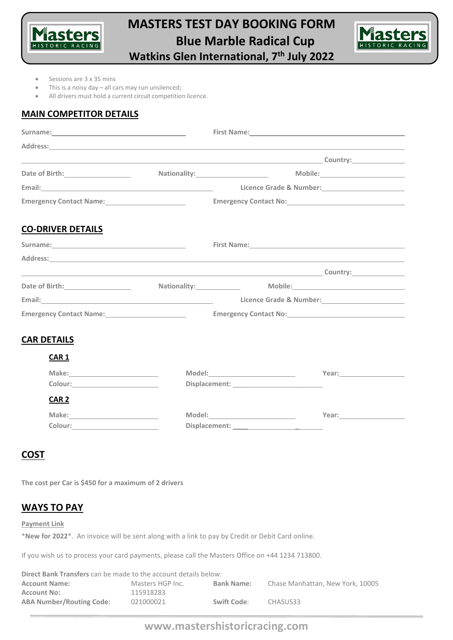

# **MASTERS TEST DAY BOOKING FORM Blue Marble Radical Cup**



**Watkins Glen International, 7th July 2022**

- Sessions are 3 x 35 mins
- This is a noisy day  $-$  all cars may run unsilenced;
- All drivers must hold a current circuit competition licence.

#### **MAIN COMPETITOR DETAILS**

| Address: No. 2014 19:30 19:30 19:30 19:30 19:30 19:30 19:30 19:30 19:30 19:30 19:30 19:30 19:30 19:30 19:30 19:30 19:30 19:30 19:30 19:30 19:30 19:30 19:30 19:30 19:30 19:30 19:30 19:30 19:30 19:30 19:30 19:30 19:30 19:30        |  |  |                                                               |
|--------------------------------------------------------------------------------------------------------------------------------------------------------------------------------------------------------------------------------------|--|--|---------------------------------------------------------------|
|                                                                                                                                                                                                                                      |  |  |                                                               |
| Date of Birth: <u>contract and a set of the set of the set of the set of the set of the set of the set of the set of the set of the set of the set of the set of the set of the set of the set of the set of the set of the set </u> |  |  | Nationality: Mobile: Mobile:                                  |
|                                                                                                                                                                                                                                      |  |  | Licence Grade & Number:<br><u>Licence Grade &amp; Number:</u> |
|                                                                                                                                                                                                                                      |  |  |                                                               |
| <b>CO-DRIVER DETAILS</b>                                                                                                                                                                                                             |  |  |                                                               |
|                                                                                                                                                                                                                                      |  |  |                                                               |
|                                                                                                                                                                                                                                      |  |  |                                                               |
|                                                                                                                                                                                                                                      |  |  |                                                               |
|                                                                                                                                                                                                                                      |  |  |                                                               |
|                                                                                                                                                                                                                                      |  |  | Licence Grade & Number:<br><u>Licence Grade &amp; Number:</u> |
| Emergency Contact Name: 2008 2010 2021 2022 2023                                                                                                                                                                                     |  |  |                                                               |
| <b>CAR DETAILS</b>                                                                                                                                                                                                                   |  |  |                                                               |
| CAR <sub>1</sub>                                                                                                                                                                                                                     |  |  |                                                               |
|                                                                                                                                                                                                                                      |  |  |                                                               |
|                                                                                                                                                                                                                                      |  |  |                                                               |
| CAR <sub>2</sub>                                                                                                                                                                                                                     |  |  |                                                               |
|                                                                                                                                                                                                                                      |  |  |                                                               |
|                                                                                                                                                                                                                                      |  |  |                                                               |

#### **COST**

**The cost per Car is \$450 for a maximum of 2 drivers**

#### **WAYS TO PAY**

**Payment Link**

\***New for 2022**\*. An invoice will be sent along with a link to pay by Credit or Debit Card online.

If you wish us to process your card payments, please call the Masters Office on +44 1234 713800.

**Direct Bank Transfers** can be made to the account details below: **Account Name:** Masters HGP Inc. **Bank Name:** Chase Manhattan, New York, 10005 **Account No:** 115918283 **ABA Number/Routing Code:** 021000021 **Swift Code**: CHASUS33